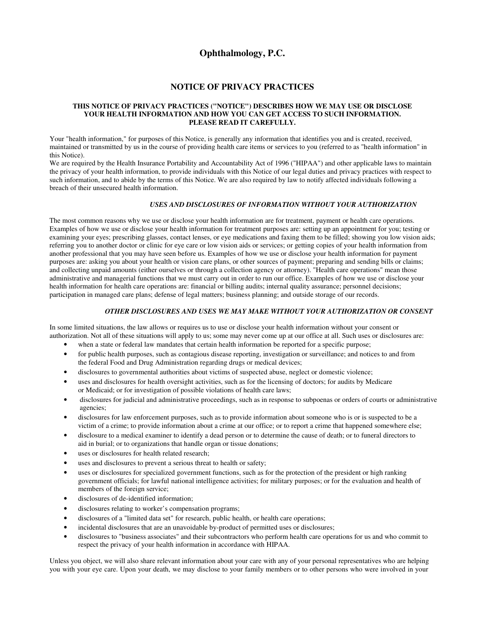# **Ophthalmology, P.C.**

# **NOTICE OF PRIVACY PRACTICES**

### **THIS NOTICE OF PRIVACY PRACTICES ("NOTICE") DESCRIBES HOW WE MAY USE OR DISCLOSE YOUR HEALTH INFORMATION AND HOW YOU CAN GET ACCESS TO SUCH INFORMATION. PLEASE READ IT CAREFULLY.**

Your "health information," for purposes of this Notice, is generally any information that identifies you and is created, received, maintained or transmitted by us in the course of providing health care items or services to you (referred to as "health information" in this Notice).

We are required by the Health Insurance Portability and Accountability Act of 1996 ("HIPAA") and other applicable laws to maintain the privacy of your health information, to provide individuals with this Notice of our legal duties and privacy practices with respect to such information, and to abide by the terms of this Notice. We are also required by law to notify affected individuals following a breach of their unsecured health information.

## *USES AND DISCLOSURES OF INFORMATION WITHOUT YOUR AUTHORIZATION*

The most common reasons why we use or disclose your health information are for treatment, payment or health care operations. Examples of how we use or disclose your health information for treatment purposes are: setting up an appointment for you; testing or examining your eyes; prescribing glasses, contact lenses, or eye medications and faxing them to be filled; showing you low vision aids; referring you to another doctor or clinic for eye care or low vision aids or services; or getting copies of your health information from another professional that you may have seen before us. Examples of how we use or disclose your health information for payment purposes are: asking you about your health or vision care plans, or other sources of payment; preparing and sending bills or claims; and collecting unpaid amounts (either ourselves or through a collection agency or attorney). "Health care operations" mean those administrative and managerial functions that we must carry out in order to run our office. Examples of how we use or disclose your health information for health care operations are: financial or billing audits; internal quality assurance; personnel decisions; participation in managed care plans; defense of legal matters; business planning; and outside storage of our records.

#### *OTHER DISCLOSURES AND USES WE MAY MAKE WITHOUT YOUR AUTHORIZATION OR CONSENT*

In some limited situations, the law allows or requires us to use or disclose your health information without your consent or authorization. Not all of these situations will apply to us; some may never come up at our office at all. Such uses or disclosures are:

- when a state or federal law mandates that certain health information be reported for a specific purpose;
- for public health purposes, such as contagious disease reporting, investigation or surveillance; and notices to and from the federal Food and Drug Administration regarding drugs or medical devices;
- disclosures to governmental authorities about victims of suspected abuse, neglect or domestic violence;
- uses and disclosures for health oversight activities, such as for the licensing of doctors; for audits by Medicare or Medicaid; or for investigation of possible violations of health care laws;
- disclosures for judicial and administrative proceedings, such as in response to subpoenas or orders of courts or administrative agencies;
- disclosures for law enforcement purposes, such as to provide information about someone who is or is suspected to be a victim of a crime; to provide information about a crime at our office; or to report a crime that happened somewhere else;
- disclosure to a medical examiner to identify a dead person or to determine the cause of death; or to funeral directors to aid in burial; or to organizations that handle organ or tissue donations;
- uses or disclosures for health related research;
- uses and disclosures to prevent a serious threat to health or safety;
- uses or disclosures for specialized government functions, such as for the protection of the president or high ranking government officials; for lawful national intelligence activities; for military purposes; or for the evaluation and health of members of the foreign service;
- disclosures of de-identified information;
- disclosures relating to worker's compensation programs;
- disclosures of a "limited data set" for research, public health, or health care operations;
- incidental disclosures that are an unavoidable by-product of permitted uses or disclosures;
- disclosures to "business associates" and their subcontractors who perform health care operations for us and who commit to respect the privacy of your health information in accordance with HIPAA.

Unless you object, we will also share relevant information about your care with any of your personal representatives who are helping you with your eye care. Upon your death, we may disclose to your family members or to other persons who were involved in your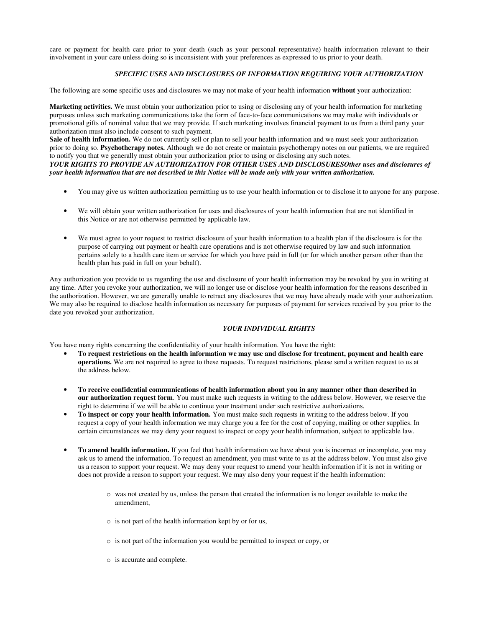care or payment for health care prior to your death (such as your personal representative) health information relevant to their involvement in your care unless doing so is inconsistent with your preferences as expressed to us prior to your death.

# *SPECIFIC USES AND DISCLOSURES OF INFORMATION REQUIRING YOUR AUTHORIZATION*

The following are some specific uses and disclosures we may not make of your health information **without** your authorization:

**Marketing activities.** We must obtain your authorization prior to using or disclosing any of your health information for marketing purposes unless such marketing communications take the form of face-to-face communications we may make with individuals or promotional gifts of nominal value that we may provide. If such marketing involves financial payment to us from a third party your authorization must also include consent to such payment.

**Sale of health information.** We do not currently sell or plan to sell your health information and we must seek your authorization prior to doing so. **Psychotherapy notes.** Although we do not create or maintain psychotherapy notes on our patients, we are required to notify you that we generally must obtain your authorization prior to using or disclosing any such notes.

*YOUR RIGHTS TO PROVIDE AN AUTHORIZATION FOR OTHER USES AND DISCLOSURESOther uses and disclosures of your health information that are not described in this Notice will be made only with your written authorization.*

- You may give us written authorization permitting us to use your health information or to disclose it to anyone for any purpose.
- We will obtain your written authorization for uses and disclosures of your health information that are not identified in this Notice or are not otherwise permitted by applicable law.
- We must agree to your request to restrict disclosure of your health information to a health plan if the disclosure is for the purpose of carrying out payment or health care operations and is not otherwise required by law and such information pertains solely to a health care item or service for which you have paid in full (or for which another person other than the health plan has paid in full on your behalf).

Any authorization you provide to us regarding the use and disclosure of your health information may be revoked by you in writing at any time. After you revoke your authorization, we will no longer use or disclose your health information for the reasons described in the authorization. However, we are generally unable to retract any disclosures that we may have already made with your authorization. We may also be required to disclose health information as necessary for purposes of payment for services received by you prior to the date you revoked your authorization.

#### *YOUR INDIVIDUAL RIGHTS*

You have many rights concerning the confidentiality of your health information. You have the right:

- **To request restrictions on the health information we may use and disclose for treatment, payment and health care operations.** We are not required to agree to these requests. To request restrictions, please send a written request to us at the address below.
- **To receive confidential communications of health information about you in any manner other than described in our authorization request form**. You must make such requests in writing to the address below. However, we reserve the right to determine if we will be able to continue your treatment under such restrictive authorizations.
- **To inspect or copy your health information.** You must make such requests in writing to the address below. If you request a copy of your health information we may charge you a fee for the cost of copying, mailing or other supplies. In certain circumstances we may deny your request to inspect or copy your health information, subject to applicable law.
- **To amend health information.** If you feel that health information we have about you is incorrect or incomplete, you may ask us to amend the information. To request an amendment, you must write to us at the address below. You must also give us a reason to support your request. We may deny your request to amend your health information if it is not in writing or does not provide a reason to support your request. We may also deny your request if the health information:
	- o was not created by us, unless the person that created the information is no longer available to make the amendment,
	- o is not part of the health information kept by or for us,
	- o is not part of the information you would be permitted to inspect or copy, or
	- o is accurate and complete.